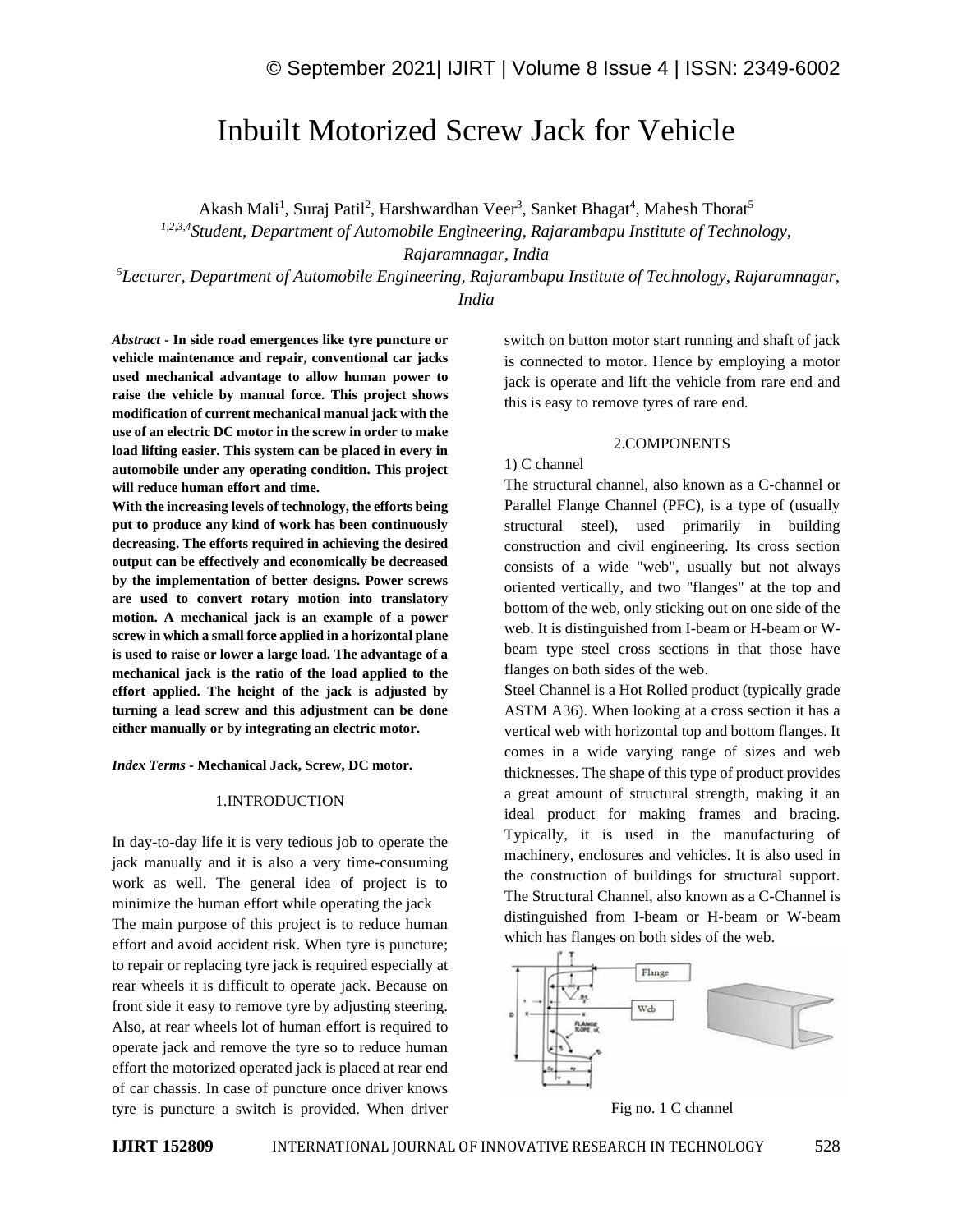# Inbuilt Motorized Screw Jack for Vehicle

Akash Mali<sup>1</sup>, Suraj Patil<sup>2</sup>, Harshwardhan Veer<sup>3</sup>, Sanket Bhagat<sup>4</sup>, Mahesh Thorat<sup>5</sup>

*1,2,3,4Student, Department of Automobile Engineering, Rajarambapu Institute of Technology,*

*Rajaramnagar, India*

*<sup>5</sup>Lecturer, Department of Automobile Engineering, Rajarambapu Institute of Technology, Rajaramnagar, India*

*Abstract -* **In side road emergences like tyre puncture or vehicle maintenance and repair, conventional car jacks used mechanical advantage to allow human power to raise the vehicle by manual force. This project shows modification of current mechanical manual jack with the use of an electric DC motor in the screw in order to make load lifting easier. This system can be placed in every in automobile under any operating condition. This project will reduce human effort and time.**

**With the increasing levels of technology, the efforts being put to produce any kind of work has been continuously decreasing. The efforts required in achieving the desired output can be effectively and economically be decreased by the implementation of better designs. Power screws are used to convert rotary motion into translatory motion. A mechanical jack is an example of a power screw in which a small force applied in a horizontal plane is used to raise or lower a large load. The advantage of a mechanical jack is the ratio of the load applied to the effort applied. The height of the jack is adjusted by turning a lead screw and this adjustment can be done either manually or by integrating an electric motor.**

*Index Terms -* **Mechanical Jack, Screw, DC motor.**

#### 1.INTRODUCTION

In day-to-day life it is very tedious job to operate the jack manually and it is also a very time-consuming work as well. The general idea of project is to minimize the human effort while operating the jack The main purpose of this project is to reduce human effort and avoid accident risk. When tyre is puncture; to repair or replacing tyre jack is required especially at rear wheels it is difficult to operate jack. Because on front side it easy to remove tyre by adjusting steering. Also, at rear wheels lot of human effort is required to operate jack and remove the tyre so to reduce human effort the motorized operated jack is placed at rear end of car chassis. In case of puncture once driver knows tyre is puncture a switch is provided. When driver

switch on button motor start running and shaft of jack is connected to motor. Hence by employing a motor jack is operate and lift the vehicle from rare end and this is easy to remove tyres of rare end.

#### 2.COMPONENTS

#### 1) C channel

The structural channel, also known as a C-channel or Parallel Flange Channel (PFC), is a type of (usually structural steel), used primarily in building construction and civil engineering. Its cross section consists of a wide "web", usually but not always oriented vertically, and two "flanges" at the top and bottom of the web, only sticking out on one side of the web. It is distinguished from I-beam or H-beam or Wbeam type steel cross sections in that those have flanges on both sides of the web.

Steel Channel is a Hot Rolled product (typically grade ASTM A36). When looking at a cross section it has a vertical web with horizontal top and bottom flanges. It comes in a wide varying range of sizes and web thicknesses. The shape of this type of product provides a great amount of structural strength, making it an ideal product for making frames and bracing. Typically, it is used in the manufacturing of machinery, enclosures and vehicles. It is also used in the construction of buildings for structural support. The Structural Channel, also known as a C-Channel is distinguished from I-beam or H-beam or W-beam which has flanges on both sides of the web.



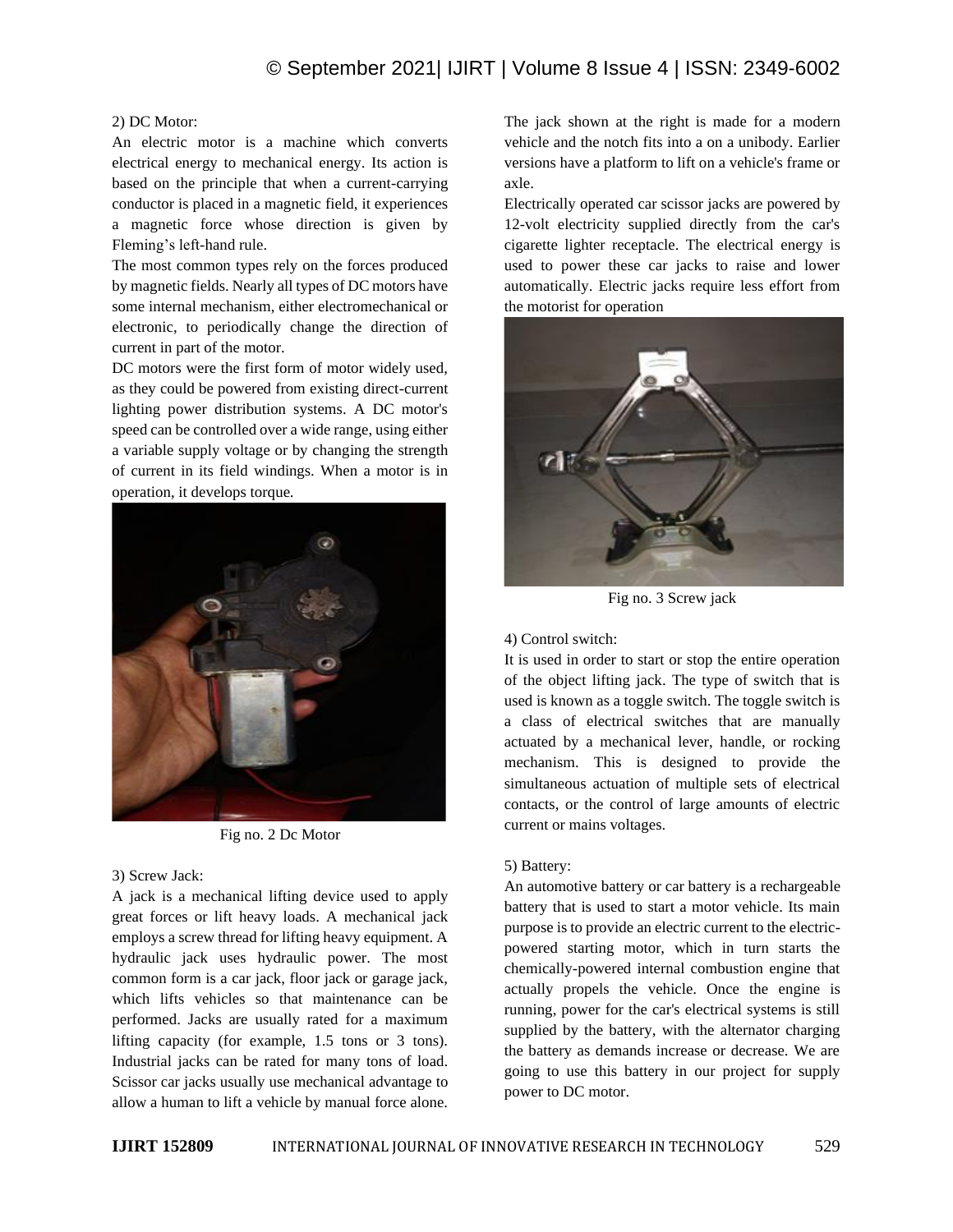## 2) DC Motor:

An electric motor is a machine which converts electrical energy to mechanical energy. Its action is based on the principle that when a current-carrying conductor is placed in a magnetic field, it experiences a magnetic force whose direction is given by Fleming's left-hand rule.

The most common types rely on the forces produced by magnetic fields. Nearly all types of DC motors have some internal mechanism, either electromechanical or electronic, to periodically change the direction of current in part of the motor.

DC motors were the first form of motor widely used, as they could be powered from existing direct-current lighting power distribution systems. A DC motor's speed can be controlled over a wide range, using either a variable supply voltage or by changing the strength of current in its field windings. When a motor is in operation, it develops torque.



Fig no. 2 Dc Motor

## 3) Screw Jack:

A jack is a mechanical lifting device used to apply great forces or lift heavy loads. A mechanical jack employs a screw thread for lifting heavy equipment. A hydraulic jack uses hydraulic power. The most common form is a car jack, floor jack or garage jack, which lifts vehicles so that maintenance can be performed. Jacks are usually rated for a maximum lifting capacity (for example, 1.5 tons or 3 tons). Industrial jacks can be rated for many tons of load. Scissor car jacks usually use mechanical advantage to allow a human to lift a vehicle by manual force alone.

The jack shown at the right is made for a modern vehicle and the notch fits into a on a unibody. Earlier versions have a platform to lift on a vehicle's frame or axle.

Electrically operated car scissor jacks are powered by 12-volt electricity supplied directly from the car's cigarette lighter receptacle. The electrical energy is used to power these car jacks to raise and lower automatically. Electric jacks require less effort from the motorist for operation



Fig no. 3 Screw jack

## 4) Control switch:

It is used in order to start or stop the entire operation of the object lifting jack. The type of switch that is used is known as a toggle switch. The toggle switch is a class of electrical switches that are manually actuated by a mechanical lever, handle, or rocking mechanism. This is designed to provide the simultaneous actuation of multiple sets of electrical contacts, or the control of large amounts of electric current or mains voltages.

## 5) Battery:

An automotive battery or car battery is a rechargeable battery that is used to start a motor vehicle. Its main purpose is to provide an electric current to the electricpowered starting motor, which in turn starts the chemically-powered internal combustion engine that actually propels the vehicle. Once the engine is running, power for the car's electrical systems is still supplied by the battery, with the alternator charging the battery as demands increase or decrease. We are going to use this battery in our project for supply power to DC motor.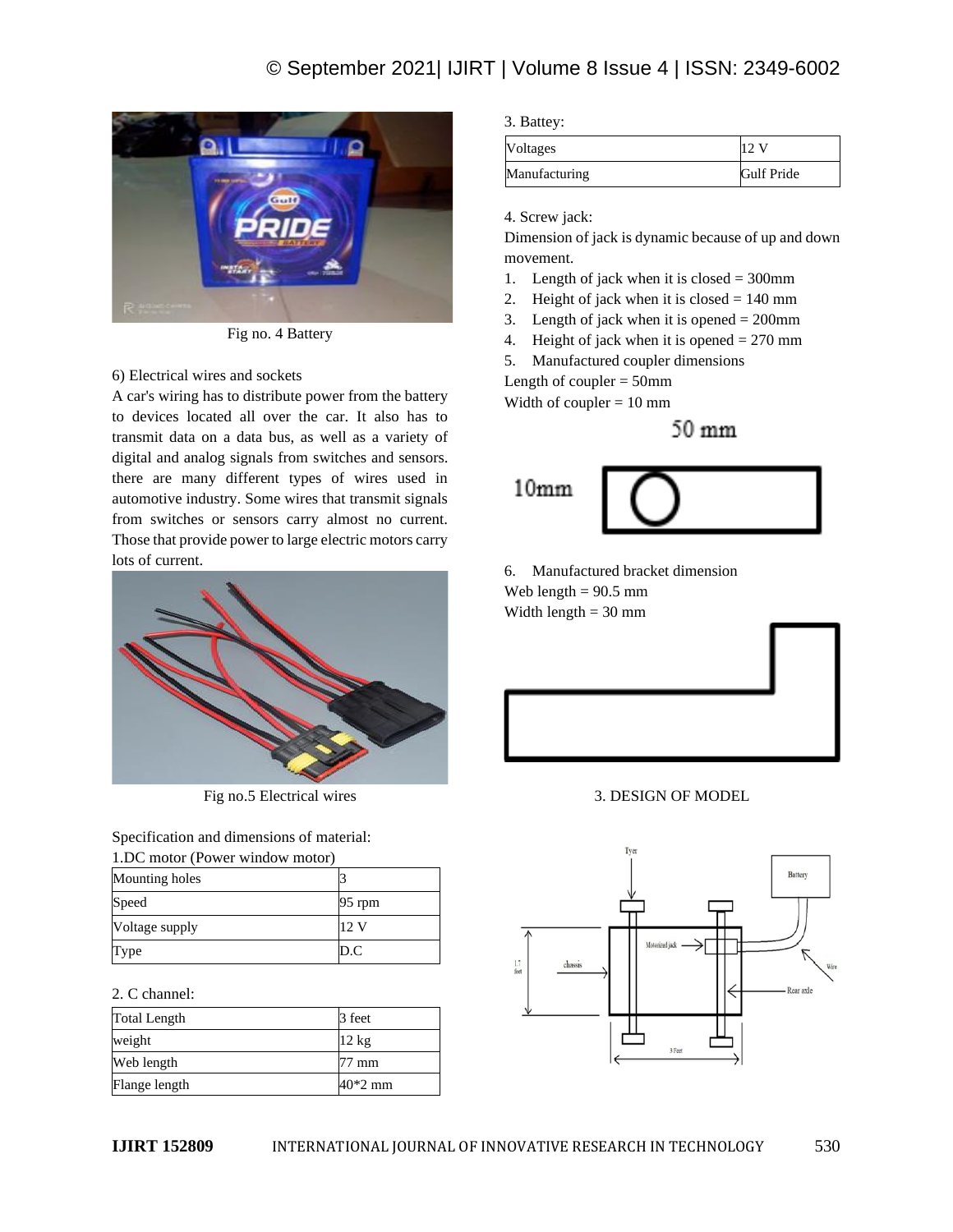

Fig no. 4 Battery

## 6) Electrical wires and sockets

A car's wiring has to distribute power from the battery to devices located all over the car. It also has to transmit data on a data bus, as well as a variety of digital and analog signals from switches and sensors. there are many different types of wires used in automotive industry. Some wires that transmit signals from switches or sensors carry almost no current. Those that provide power to large electric motors carry lots of current.



Fig no.5 Electrical wires

Specification and dimensions of material:

| 1.DC motor (Power window motor) |          |  |
|---------------------------------|----------|--|
| Mounting holes                  |          |  |
| Speed                           | $95$ rpm |  |
| Voltage supply                  | 12V      |  |
| Type                            | D.C      |  |

2. C channel:

| <b>Total Length</b> | 3 feet          |
|---------------------|-----------------|
| weight              | $12 \text{ kg}$ |
| Web length          | 77 mm           |
| Flange length       | $40*2$ mm       |

3. Battey:

| <b>Voltages</b> |                   |
|-----------------|-------------------|
| Manufacturing   | <b>Gulf Pride</b> |

4. Screw jack:

Dimension of jack is dynamic because of up and down movement.

- 1. Length of jack when it is closed  $= 300$ mm
- 2. Height of jack when it is closed  $= 140$  mm
- 3. Length of jack when it is opened  $= 200$ mm
- 4. Height of jack when it is opened  $= 270$  mm
- 5. Manufactured coupler dimensions

Length of coupler  $=$  50mm

Width of coupler  $= 10$  mm

 $50 \text{ mm}$ 

 $10<sub>mm</sub>$ 

6. Manufactured bracket dimension Web length  $= 90.5$  mm Width length  $= 30$  mm

3. DESIGN OF MODEL